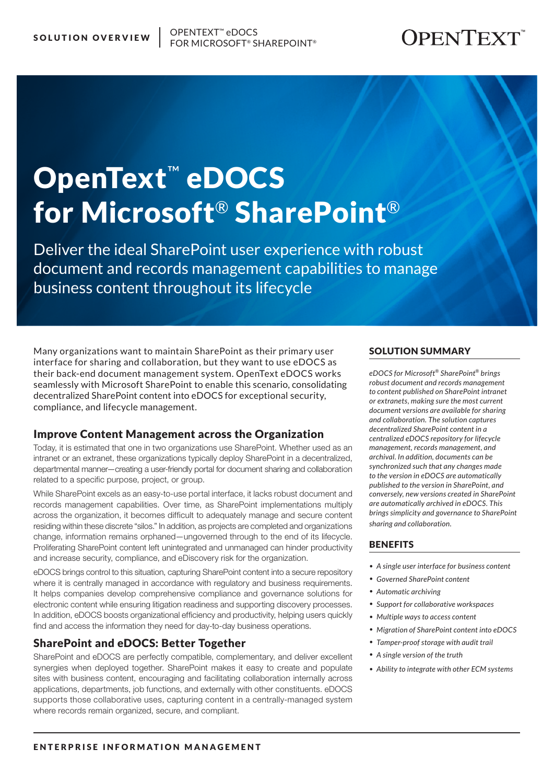# **OPENTEXT**

# OpenText™ eDOCS for Microsoft® SharePoint®

Deliver the ideal SharePoint user experience with robust document and records management capabilities to manage business content throughout its lifecycle

Many organizations want to maintain SharePoint as their primary user interface for sharing and collaboration, but they want to use eDOCS as their back-end document management system. OpenText eDOCS works seamlessly with Microsoft SharePoint to enable this scenario, consolidating decentralized SharePoint content into eDOCS for exceptional security, compliance, and lifecycle management.

# Improve Content Management across the Organization

Today, it is estimated that one in two organizations use SharePoint. Whether used as an intranet or an extranet, these organizations typically deploy SharePoint in a decentralized, departmental manner—creating a user-friendly portal for document sharing and collaboration related to a specific purpose, project, or group.

While SharePoint excels as an easy-to-use portal interface, it lacks robust document and records management capabilities. Over time, as SharePoint implementations multiply across the organization, it becomes difficult to adequately manage and secure content residing within these discrete "silos." In addition, as projects are completed and organizations change, information remains orphaned—ungoverned through to the end of its lifecycle. Proliferating SharePoint content left unintegrated and unmanaged can hinder productivity and increase security, compliance, and eDiscovery risk for the organization.

eDOCS brings control to this situation, capturing SharePoint content into a secure repository where it is centrally managed in accordance with regulatory and business requirements. It helps companies develop comprehensive compliance and governance solutions for electronic content while ensuring litigation readiness and supporting discovery processes. In addition, eDOCS boosts organizational efficiency and productivity, helping users quickly find and access the information they need for day-to-day business operations.

# SharePoint and eDOCS: Better Together

SharePoint and eDOCS are perfectly compatible, complementary, and deliver excellent synergies when deployed together. SharePoint makes it easy to create and populate sites with business content, encouraging and facilitating collaboration internally across applications, departments, job functions, and externally with other constituents. eDOCS supports those collaborative uses, capturing content in a centrally-managed system where records remain organized, secure, and compliant.

# SOLUTION SUMMARY

*eDOCS for Microsoft® SharePoint® brings robust document and records management to content published on SharePoint intranet or extranets, making sure the most current document versions are available for sharing and collaboration. The solution captures decentralized SharePoint content in a centralized eDOCS repository for lifecycle management, records management, and archival. In addition, documents can be synchronized such that any changes made to the version in eDOCS are automatically published to the version in SharePoint, and conversely, new versions created in SharePoint are automatically archived in eDOCS. This brings simplicity and governance to SharePoint sharing and collaboration.*

# **BENEFITS**

- *• A single user interface for business content*
- *• Governed SharePoint content*
- *• Automatic archiving*
- *• Support for collaborative workspaces*
- *• Multiple ways to access content*
- *• Migration of SharePoint content into eDOCS*
- *• Tamper-proof storage with audit trail*
- *• A single version of the truth*
- *• Ability to integrate with other ECM systems*